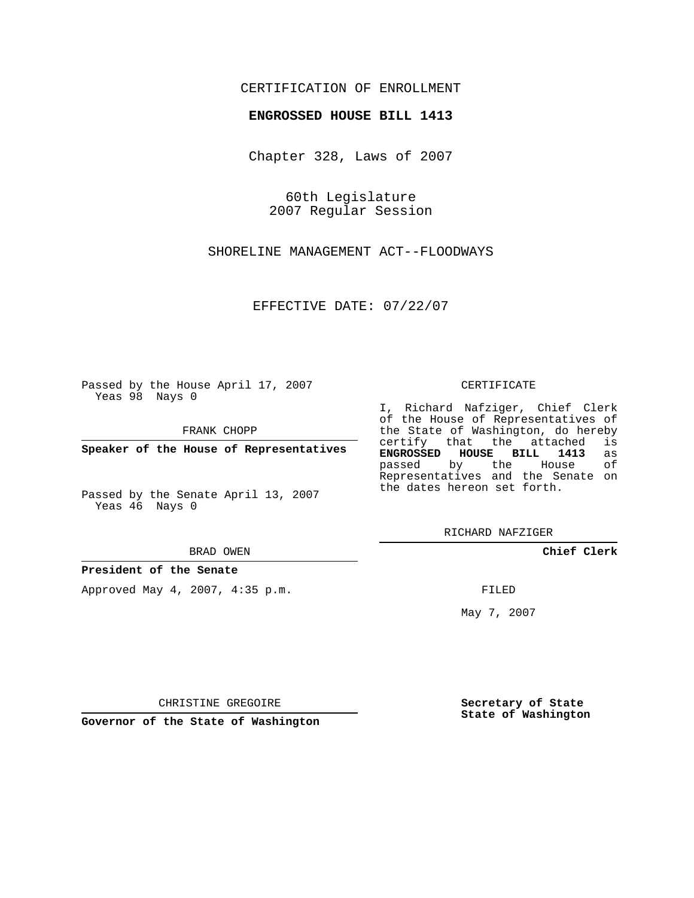## CERTIFICATION OF ENROLLMENT

## **ENGROSSED HOUSE BILL 1413**

Chapter 328, Laws of 2007

60th Legislature 2007 Regular Session

SHORELINE MANAGEMENT ACT--FLOODWAYS

EFFECTIVE DATE: 07/22/07

Passed by the House April 17, 2007 Yeas 98 Nays 0

FRANK CHOPP

**Speaker of the House of Representatives**

Passed by the Senate April 13, 2007 Yeas 46 Nays 0

BRAD OWEN

**President of the Senate**

Approved May 4, 2007, 4:35 p.m.

## CERTIFICATE

I, Richard Nafziger, Chief Clerk of the House of Representatives of the State of Washington, do hereby<br>certify that the attached is certify that the attached **ENGROSSED HOUSE BILL 1413** as passed by the House Representatives and the Senate on the dates hereon set forth.

RICHARD NAFZIGER

**Chief Clerk**

FILED

May 7, 2007

**Secretary of State State of Washington**

CHRISTINE GREGOIRE

**Governor of the State of Washington**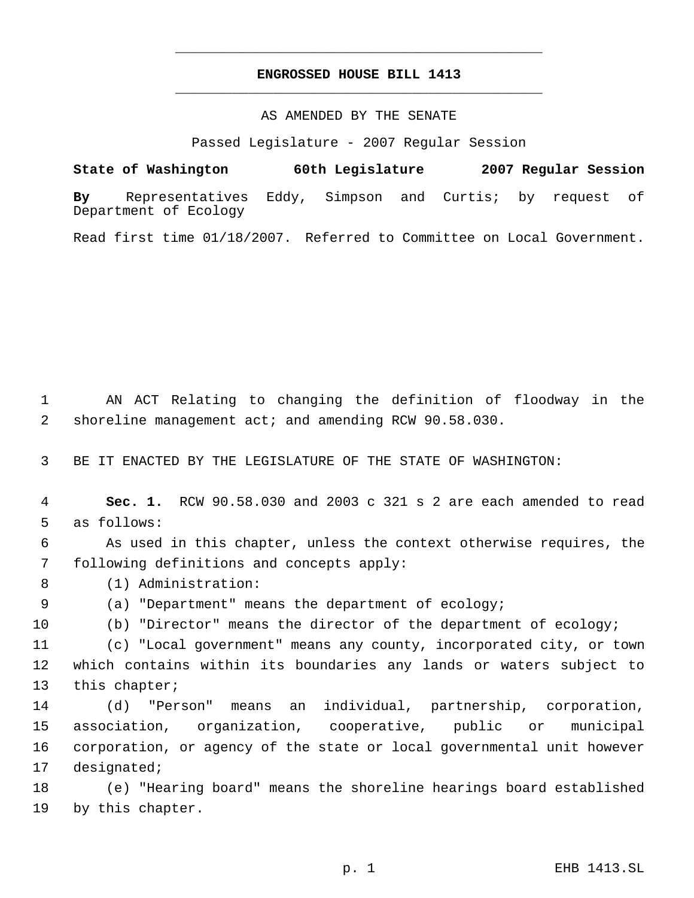## **ENGROSSED HOUSE BILL 1413** \_\_\_\_\_\_\_\_\_\_\_\_\_\_\_\_\_\_\_\_\_\_\_\_\_\_\_\_\_\_\_\_\_\_\_\_\_\_\_\_\_\_\_\_\_

\_\_\_\_\_\_\_\_\_\_\_\_\_\_\_\_\_\_\_\_\_\_\_\_\_\_\_\_\_\_\_\_\_\_\_\_\_\_\_\_\_\_\_\_\_

AS AMENDED BY THE SENATE

Passed Legislature - 2007 Regular Session

**State of Washington 60th Legislature 2007 Regular Session By** Representatives Eddy, Simpson and Curtis; by request of Department of Ecology

Read first time 01/18/2007. Referred to Committee on Local Government.

 AN ACT Relating to changing the definition of floodway in the shoreline management act; and amending RCW 90.58.030.

BE IT ENACTED BY THE LEGISLATURE OF THE STATE OF WASHINGTON:

 **Sec. 1.** RCW 90.58.030 and 2003 c 321 s 2 are each amended to read as follows:

 As used in this chapter, unless the context otherwise requires, the following definitions and concepts apply:

(1) Administration:

(a) "Department" means the department of ecology;

(b) "Director" means the director of the department of ecology;

 (c) "Local government" means any county, incorporated city, or town which contains within its boundaries any lands or waters subject to this chapter;

 (d) "Person" means an individual, partnership, corporation, association, organization, cooperative, public or municipal corporation, or agency of the state or local governmental unit however designated;

 (e) "Hearing board" means the shoreline hearings board established by this chapter.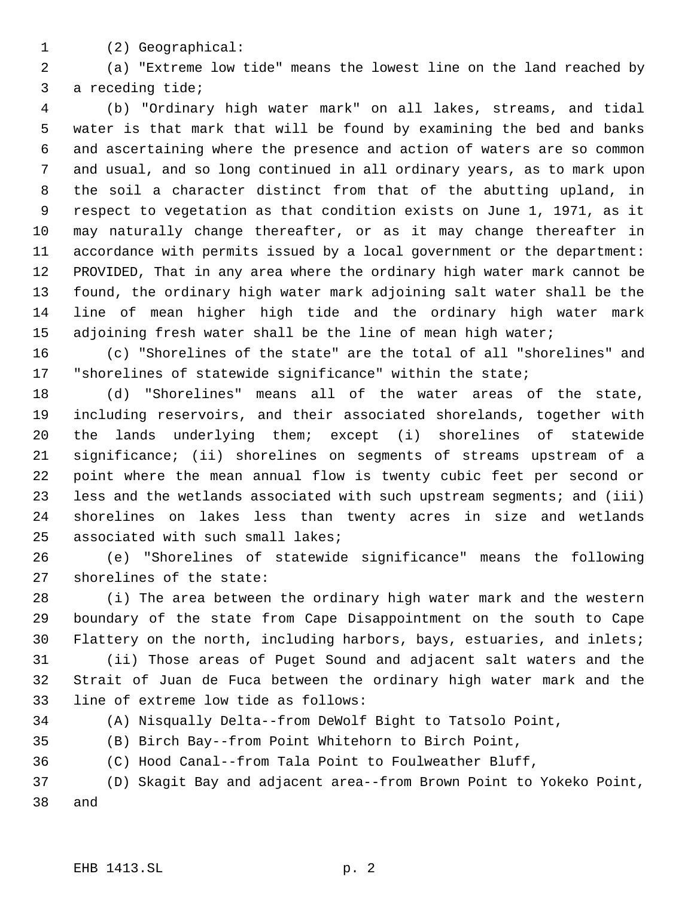- 
- (2) Geographical:

 (a) "Extreme low tide" means the lowest line on the land reached by a receding tide;

 (b) "Ordinary high water mark" on all lakes, streams, and tidal water is that mark that will be found by examining the bed and banks and ascertaining where the presence and action of waters are so common and usual, and so long continued in all ordinary years, as to mark upon the soil a character distinct from that of the abutting upland, in respect to vegetation as that condition exists on June 1, 1971, as it may naturally change thereafter, or as it may change thereafter in accordance with permits issued by a local government or the department: PROVIDED, That in any area where the ordinary high water mark cannot be found, the ordinary high water mark adjoining salt water shall be the line of mean higher high tide and the ordinary high water mark adjoining fresh water shall be the line of mean high water;

 (c) "Shorelines of the state" are the total of all "shorelines" and "shorelines of statewide significance" within the state;

 (d) "Shorelines" means all of the water areas of the state, including reservoirs, and their associated shorelands, together with the lands underlying them; except (i) shorelines of statewide significance; (ii) shorelines on segments of streams upstream of a point where the mean annual flow is twenty cubic feet per second or less and the wetlands associated with such upstream segments; and (iii) shorelines on lakes less than twenty acres in size and wetlands associated with such small lakes;

 (e) "Shorelines of statewide significance" means the following shorelines of the state:

 (i) The area between the ordinary high water mark and the western boundary of the state from Cape Disappointment on the south to Cape Flattery on the north, including harbors, bays, estuaries, and inlets;

 (ii) Those areas of Puget Sound and adjacent salt waters and the Strait of Juan de Fuca between the ordinary high water mark and the line of extreme low tide as follows:

(A) Nisqually Delta--from DeWolf Bight to Tatsolo Point,

(B) Birch Bay--from Point Whitehorn to Birch Point,

(C) Hood Canal--from Tala Point to Foulweather Bluff,

 (D) Skagit Bay and adjacent area--from Brown Point to Yokeko Point, and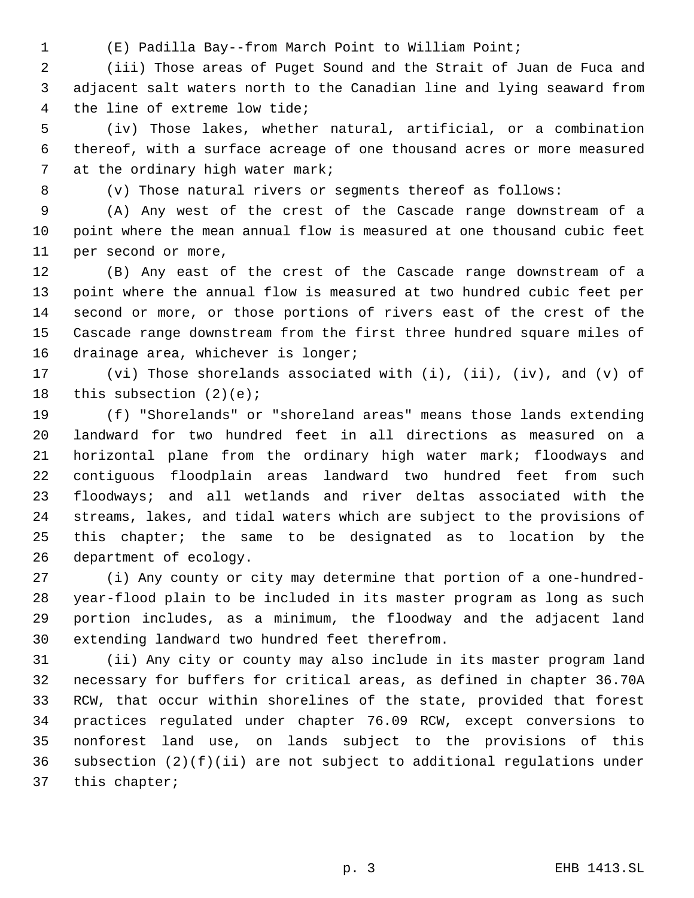- 
- (E) Padilla Bay--from March Point to William Point;

 (iii) Those areas of Puget Sound and the Strait of Juan de Fuca and adjacent salt waters north to the Canadian line and lying seaward from the line of extreme low tide;

 (iv) Those lakes, whether natural, artificial, or a combination thereof, with a surface acreage of one thousand acres or more measured 7 at the ordinary high water mark;

(v) Those natural rivers or segments thereof as follows:

 (A) Any west of the crest of the Cascade range downstream of a point where the mean annual flow is measured at one thousand cubic feet per second or more,

 (B) Any east of the crest of the Cascade range downstream of a point where the annual flow is measured at two hundred cubic feet per second or more, or those portions of rivers east of the crest of the Cascade range downstream from the first three hundred square miles of 16 drainage area, whichever is longer;

 (vi) Those shorelands associated with (i), (ii), (iv), and (v) of this subsection (2)(e);

 (f) "Shorelands" or "shoreland areas" means those lands extending landward for two hundred feet in all directions as measured on a horizontal plane from the ordinary high water mark; floodways and contiguous floodplain areas landward two hundred feet from such floodways; and all wetlands and river deltas associated with the streams, lakes, and tidal waters which are subject to the provisions of this chapter; the same to be designated as to location by the department of ecology.

 (i) Any county or city may determine that portion of a one-hundred- year-flood plain to be included in its master program as long as such portion includes, as a minimum, the floodway and the adjacent land extending landward two hundred feet therefrom.

 (ii) Any city or county may also include in its master program land necessary for buffers for critical areas, as defined in chapter 36.70A RCW, that occur within shorelines of the state, provided that forest practices regulated under chapter 76.09 RCW, except conversions to nonforest land use, on lands subject to the provisions of this subsection (2)(f)(ii) are not subject to additional regulations under this chapter;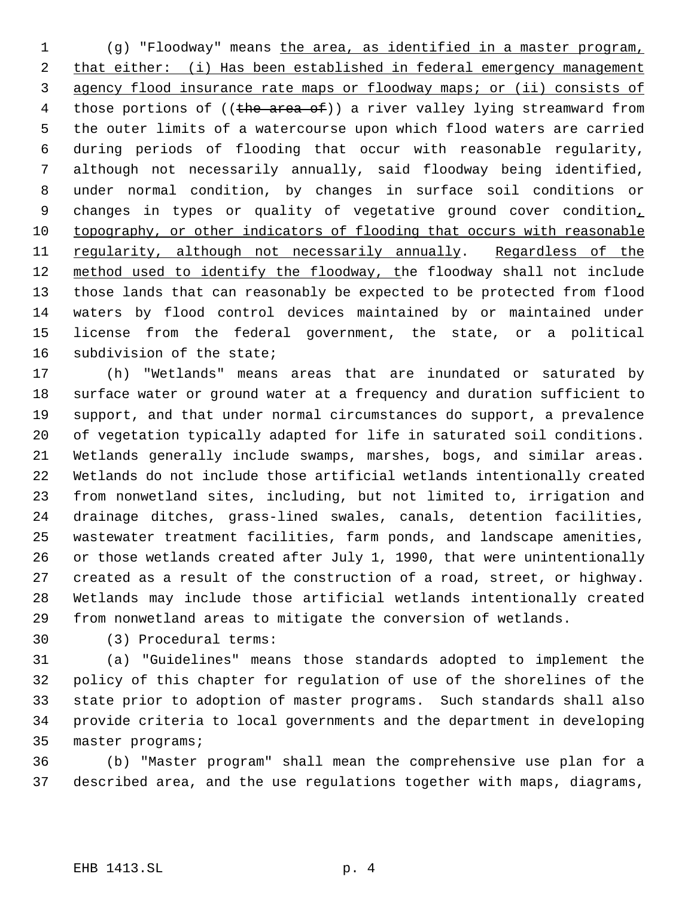(g) "Floodway" means the area, as identified in a master program, 2 that either: (i) Has been established in federal emergency management agency flood insurance rate maps or floodway maps; or (ii) consists of 4 those portions of ((the area of)) a river valley lying streamward from the outer limits of a watercourse upon which flood waters are carried during periods of flooding that occur with reasonable regularity, although not necessarily annually, said floodway being identified, under normal condition, by changes in surface soil conditions or 9 changes in types or quality of vegetative ground cover condition, topography, or other indicators of flooding that occurs with reasonable regularity, although not necessarily annually. Regardless of the 12 method used to identify the floodway, the floodway shall not include those lands that can reasonably be expected to be protected from flood waters by flood control devices maintained by or maintained under license from the federal government, the state, or a political subdivision of the state;

 (h) "Wetlands" means areas that are inundated or saturated by surface water or ground water at a frequency and duration sufficient to support, and that under normal circumstances do support, a prevalence of vegetation typically adapted for life in saturated soil conditions. Wetlands generally include swamps, marshes, bogs, and similar areas. Wetlands do not include those artificial wetlands intentionally created from nonwetland sites, including, but not limited to, irrigation and drainage ditches, grass-lined swales, canals, detention facilities, wastewater treatment facilities, farm ponds, and landscape amenities, or those wetlands created after July 1, 1990, that were unintentionally created as a result of the construction of a road, street, or highway. Wetlands may include those artificial wetlands intentionally created from nonwetland areas to mitigate the conversion of wetlands.

(3) Procedural terms:

 (a) "Guidelines" means those standards adopted to implement the policy of this chapter for regulation of use of the shorelines of the state prior to adoption of master programs. Such standards shall also provide criteria to local governments and the department in developing master programs;

 (b) "Master program" shall mean the comprehensive use plan for a described area, and the use regulations together with maps, diagrams,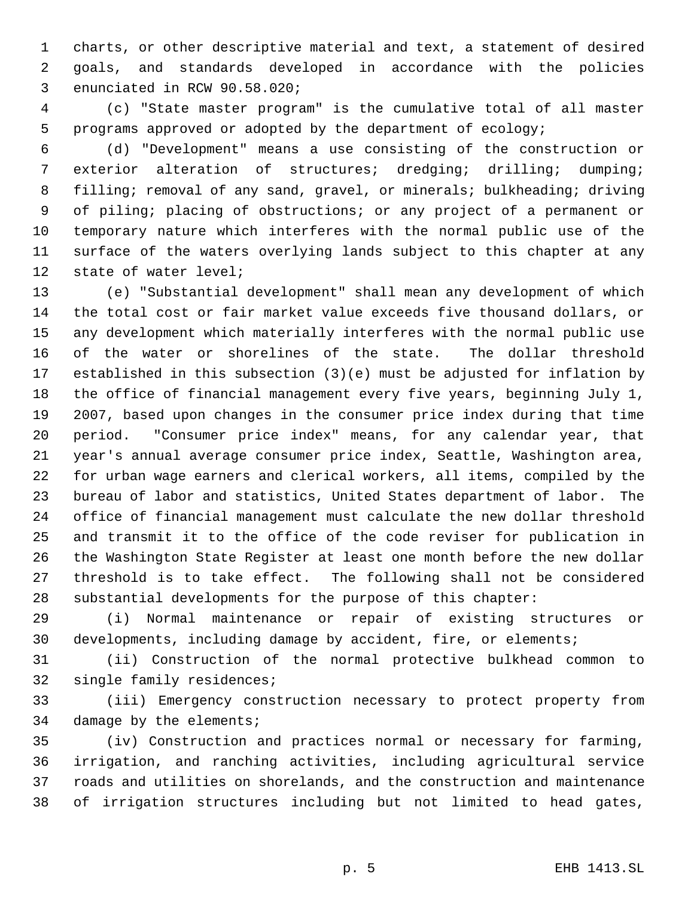charts, or other descriptive material and text, a statement of desired goals, and standards developed in accordance with the policies enunciated in RCW 90.58.020;

 (c) "State master program" is the cumulative total of all master programs approved or adopted by the department of ecology;

 (d) "Development" means a use consisting of the construction or exterior alteration of structures; dredging; drilling; dumping; 8 filling; removal of any sand, gravel, or minerals; bulkheading; driving of piling; placing of obstructions; or any project of a permanent or temporary nature which interferes with the normal public use of the surface of the waters overlying lands subject to this chapter at any state of water level;

 (e) "Substantial development" shall mean any development of which the total cost or fair market value exceeds five thousand dollars, or any development which materially interferes with the normal public use of the water or shorelines of the state. The dollar threshold established in this subsection (3)(e) must be adjusted for inflation by the office of financial management every five years, beginning July 1, 2007, based upon changes in the consumer price index during that time period. "Consumer price index" means, for any calendar year, that year's annual average consumer price index, Seattle, Washington area, for urban wage earners and clerical workers, all items, compiled by the bureau of labor and statistics, United States department of labor. The office of financial management must calculate the new dollar threshold and transmit it to the office of the code reviser for publication in the Washington State Register at least one month before the new dollar threshold is to take effect. The following shall not be considered substantial developments for the purpose of this chapter:

 (i) Normal maintenance or repair of existing structures or developments, including damage by accident, fire, or elements;

 (ii) Construction of the normal protective bulkhead common to single family residences;

 (iii) Emergency construction necessary to protect property from damage by the elements;

 (iv) Construction and practices normal or necessary for farming, irrigation, and ranching activities, including agricultural service roads and utilities on shorelands, and the construction and maintenance of irrigation structures including but not limited to head gates,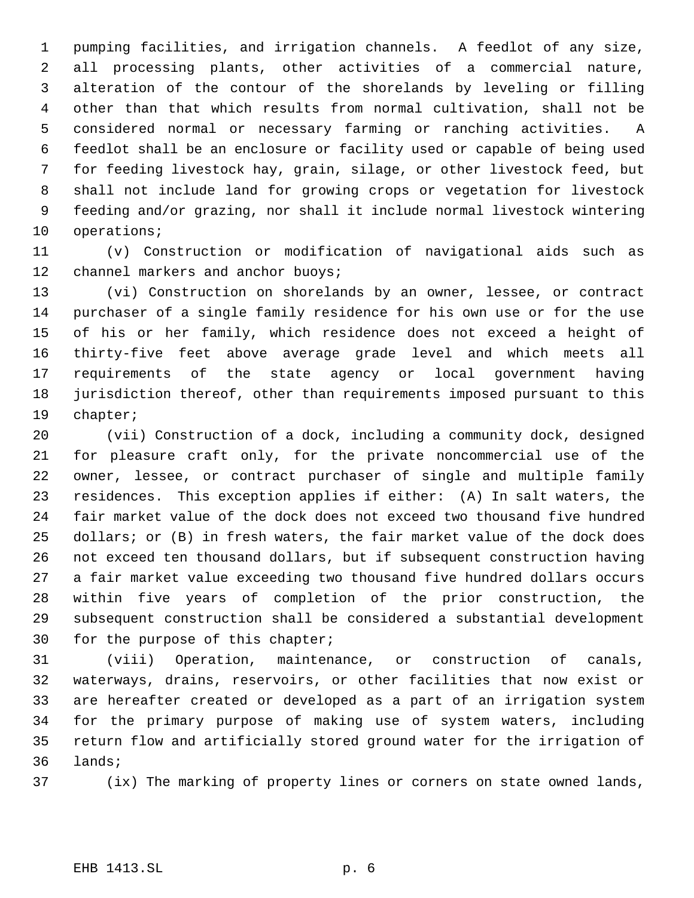pumping facilities, and irrigation channels. A feedlot of any size, all processing plants, other activities of a commercial nature, alteration of the contour of the shorelands by leveling or filling other than that which results from normal cultivation, shall not be considered normal or necessary farming or ranching activities. A feedlot shall be an enclosure or facility used or capable of being used for feeding livestock hay, grain, silage, or other livestock feed, but shall not include land for growing crops or vegetation for livestock feeding and/or grazing, nor shall it include normal livestock wintering operations;

 (v) Construction or modification of navigational aids such as 12 channel markers and anchor buoys;

 (vi) Construction on shorelands by an owner, lessee, or contract purchaser of a single family residence for his own use or for the use of his or her family, which residence does not exceed a height of thirty-five feet above average grade level and which meets all requirements of the state agency or local government having jurisdiction thereof, other than requirements imposed pursuant to this chapter;

 (vii) Construction of a dock, including a community dock, designed for pleasure craft only, for the private noncommercial use of the owner, lessee, or contract purchaser of single and multiple family residences. This exception applies if either: (A) In salt waters, the fair market value of the dock does not exceed two thousand five hundred dollars; or (B) in fresh waters, the fair market value of the dock does not exceed ten thousand dollars, but if subsequent construction having a fair market value exceeding two thousand five hundred dollars occurs within five years of completion of the prior construction, the subsequent construction shall be considered a substantial development for the purpose of this chapter;

 (viii) Operation, maintenance, or construction of canals, waterways, drains, reservoirs, or other facilities that now exist or are hereafter created or developed as a part of an irrigation system for the primary purpose of making use of system waters, including return flow and artificially stored ground water for the irrigation of lands;

(ix) The marking of property lines or corners on state owned lands,